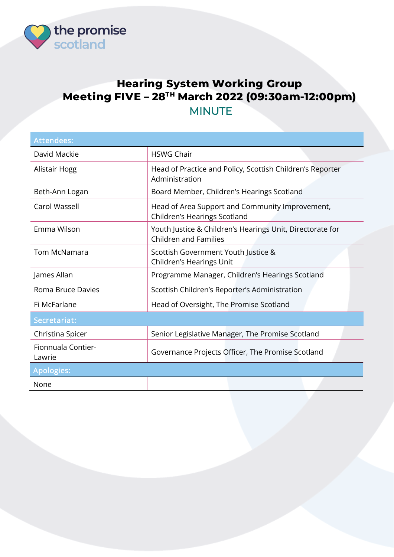

## **Hearing System Working Group Meeting FIVE – 28TH March 2022 (09:30am-12:00pm)**  MINUTE

| <b>Attendees:</b>            |                                                                                           |
|------------------------------|-------------------------------------------------------------------------------------------|
| David Mackie                 | <b>HSWG Chair</b>                                                                         |
| Alistair Hogg                | Head of Practice and Policy, Scottish Children's Reporter<br>Administration               |
| Beth-Ann Logan               | Board Member, Children's Hearings Scotland                                                |
| Carol Wassell                | Head of Area Support and Community Improvement,<br>Children's Hearings Scotland           |
| Emma Wilson                  | Youth Justice & Children's Hearings Unit, Directorate for<br><b>Children and Families</b> |
| <b>Tom McNamara</b>          | Scottish Government Youth Justice &<br>Children's Hearings Unit                           |
| James Allan                  | Programme Manager, Children's Hearings Scotland                                           |
| Roma Bruce Davies            | Scottish Children's Reporter's Administration                                             |
| Fi McFarlane                 | Head of Oversight, The Promise Scotland                                                   |
| Secretariat:                 |                                                                                           |
| Christina Spicer             | Senior Legislative Manager, The Promise Scotland                                          |
| Fionnuala Contier-<br>Lawrie | Governance Projects Officer, The Promise Scotland                                         |
| <b>Apologies:</b>            |                                                                                           |
| None                         |                                                                                           |